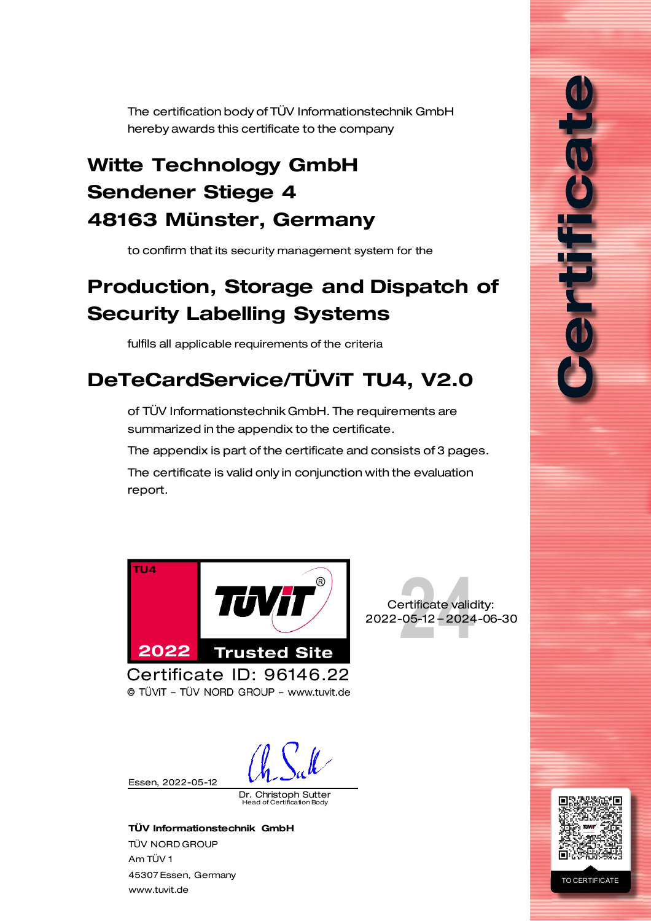<span id="page-0-0"></span>The certification body of TÜV Informationstechnik GmbH hereby awards this certificate to the company

## <span id="page-0-2"></span>Witte Technology GmbH Sendener Stiege 4 48163 Münster, Germany

to confirm that its security management system for the

### Production, Storage and Dispatch of Security Labelling Systems

fulfils all applicable requirements of the criteria

# DeTeCardService/TÜViT TU4, V2.0

of TÜV Informationstechnik GmbH. The requirements are summarized in the appendix to the certificate.

The appendix is part of the certificate and consists of 3 pages.

The certificate is valid only in conjunction with the evaluation report.



© TÜVIT - TÜV NORD GROUP - www.tuvit.de

Essen, [2022-05-12](#page-0-1)

<span id="page-0-1"></span>Dr. Christoph Sutter Head of Certification Body

TÜV Informationstechnik GmbH TÜV NORD GROUP Am TÜV 1 45307 Essen, Germany [www.tuvit.de](http://www.tuvit.de/)





fili

#### TO CERTIFICATE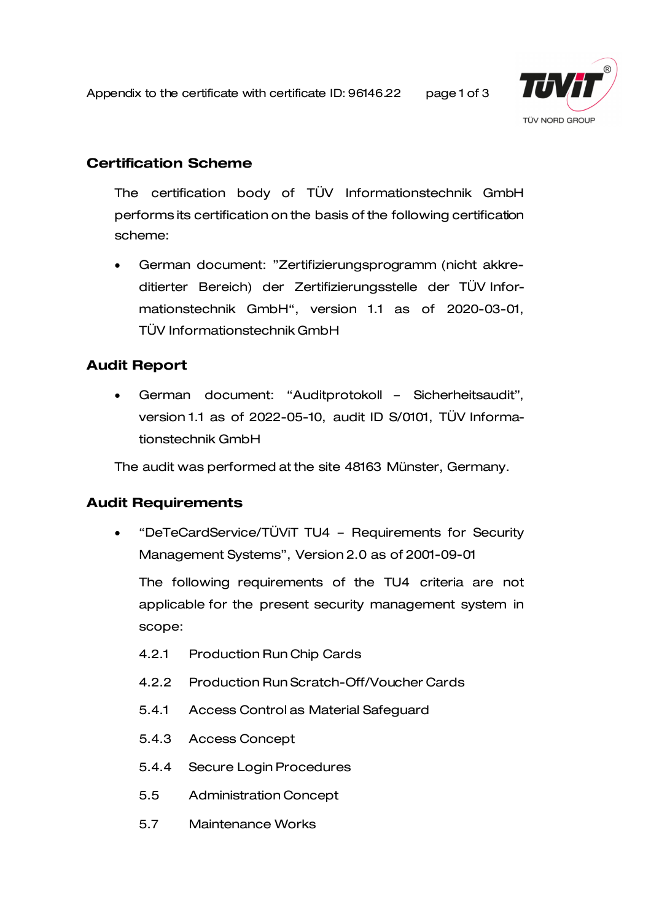Appendix to the certificate with certificate ID[: 96146.22](#page-0-0) page 1 of 3



#### Certification Scheme

The certification body of TÜV Informationstechnik GmbH performs its certification on the basis of the following certification scheme:

• German document: "Zertifizierungsprogramm (nicht akkreditierter Bereich) der Zertifizierungsstelle der TÜV Informationstechnik GmbH", version 1.1 as of 2020-03-01, TÜV Informationstechnik GmbH

### <span id="page-1-0"></span>Audit Report

• German document: "Auditprotokoll – Sicherheitsaudit", version 1.1 as of 2022-05-10, audit ID S/0101, TÜV Informationstechnik GmbH

The audit was performed at the site [48163 Münster,](#page-0-2) Germany.

#### [Audit](#page-1-0) Requirements

• "DeTeCardService/TÜViT TU4 – Requirements for Security Management Systems", Version 2.0 as of 2001-09-01

The following requirements of the TU4 criteria are not applicable for the present security management system in scope:

- 4.2.1 Production Run Chip Cards
- 4.2.2 Production Run Scratch-Off/Voucher Cards
- 5.4.1 Access Control as Material Safeguard
- 5.4.3 Access Concept
- 5.4.4 Secure Login Procedures
- 5.5 Administration Concept
- 5.7 Maintenance Works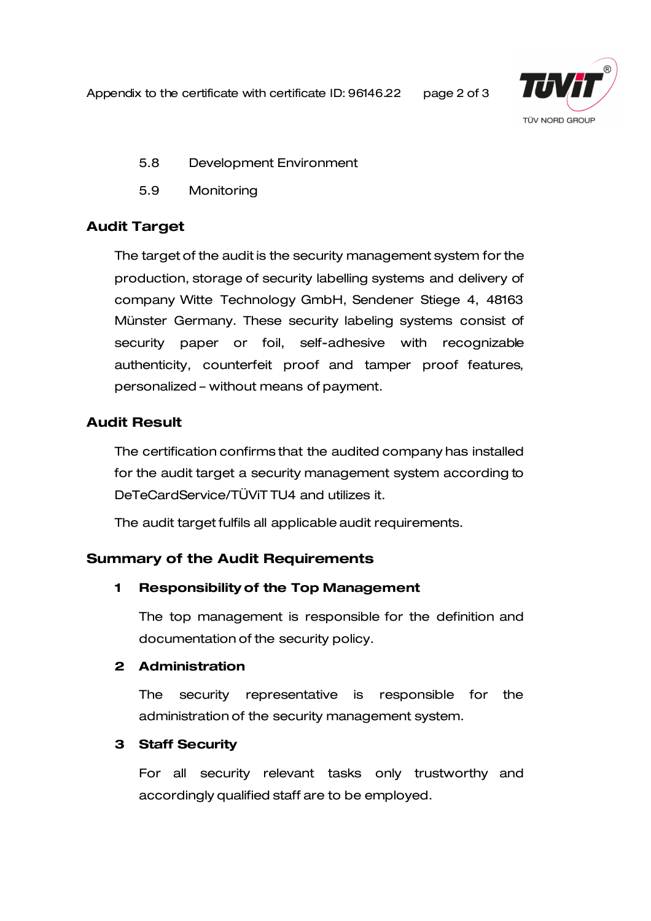Appendix to the certificate with certificate ID[: 96146.22](#page-0-0) page 2 of 3



- 5.8 Development Environment
- 5.9 Monitoring

#### [Audit](#page-1-0) Target

The target of the audit is the security management system for the production, storage of security labelling systems and delivery of company Witte Technology GmbH, Sendener Stiege 4, 48163 Münster Germany. These security labeling systems consist of security paper or foil, self-adhesive with recognizable authenticity, counterfeit proof and tamper proof features, personalized – without means of payment.

### [Audit](#page-1-0) Result

The certification confirms that the audited company has installed for the audit target a security management system according to DeTeCardService/TÜViT TU4 and utilizes it.

The audit target fulfils all applicabl[e audit](#page-1-0) requirements.

#### Summary of the [Audit](#page-1-0) Requirements

#### 1 Responsibility of the Top Management

The top management is responsible for the definition and documentation of the security policy.

#### 2 Administration

The security representative is responsible for the administration of the security management system.

#### 3 Staff Security

For all security relevant tasks only trustworthy and accordingly qualified staff are to be employed.